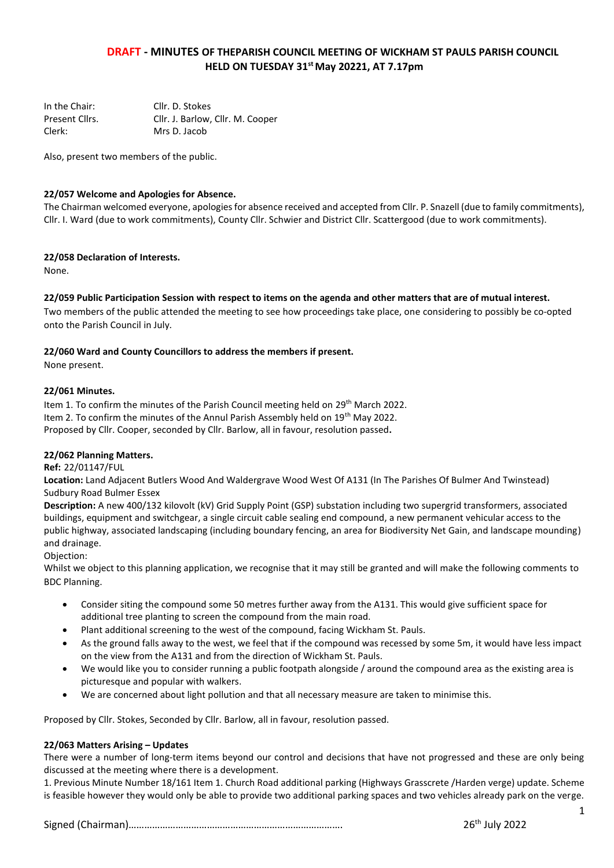# **DRAFT - MINUTES OF THEPARISH COUNCIL MEETING OF WICKHAM ST PAULS PARISH COUNCIL HELD ON TUESDAY 31stMay 20221, AT 7.17pm**

| In the Chair:  | Cllr. D. Stokes                  |
|----------------|----------------------------------|
| Present Cllrs. | Cllr. J. Barlow, Cllr. M. Cooper |
| Clerk:         | Mrs D. Jacob                     |

Also, present two members of the public.

## **22/057 Welcome and Apologies for Absence.**

The Chairman welcomed everyone, apologies for absence received and accepted from Cllr. P. Snazell (due to family commitments), Cllr. I. Ward (due to work commitments), County Cllr. Schwier and District Cllr. Scattergood (due to work commitments).

## **22/058 Declaration of Interests.**

None.

## **22/059 Public Participation Session with respect to items on the agenda and other matters that are of mutual interest.**

Two members of the public attended the meeting to see how proceedings take place, one considering to possibly be co-opted onto the Parish Council in July.

## **22/060 Ward and County Councillors to address the members if present.**

None present.

## **22/061 Minutes.**

Item 1. To confirm the minutes of the Parish Council meeting held on 29th March 2022. Item 2. To confirm the minutes of the Annul Parish Assembly held on 19<sup>th</sup> May 2022. Proposed by Cllr. Cooper, seconded by Cllr. Barlow, all in favour, resolution passed**.**

## **22/062 Planning Matters.**

#### **Ref:** 22/01147/FUL

**Location:** Land Adjacent Butlers Wood And Waldergrave Wood West Of A131 (In The Parishes Of Bulmer And Twinstead) Sudbury Road Bulmer Essex

**Description:** A new 400/132 kilovolt (kV) Grid Supply Point (GSP) substation including two supergrid transformers, associated buildings, equipment and switchgear, a single circuit cable sealing end compound, a new permanent vehicular access to the public highway, associated landscaping (including boundary fencing, an area for Biodiversity Net Gain, and landscape mounding) and drainage.

Objection:

Whilst we object to this planning application, we recognise that it may still be granted and will make the following comments to BDC Planning.

- Consider siting the compound some 50 metres further away from the A131. This would give sufficient space for additional tree planting to screen the compound from the main road.
- Plant additional screening to the west of the compound, facing Wickham St. Pauls.
- As the ground falls away to the west, we feel that if the compound was recessed by some 5m, it would have less impact on the view from the A131 and from the direction of Wickham St. Pauls.
- We would like you to consider running a public footpath alongside / around the compound area as the existing area is picturesque and popular with walkers.
- We are concerned about light pollution and that all necessary measure are taken to minimise this.

Proposed by Cllr. Stokes, Seconded by Cllr. Barlow, all in favour, resolution passed.

## **22/063 Matters Arising – Updates**

There were a number of long-term items beyond our control and decisions that have not progressed and these are only being discussed at the meeting where there is a development.

1. Previous Minute Number 18/161 Item 1. Church Road additional parking (Highways Grasscrete /Harden verge) update. Scheme is feasible however they would only be able to provide two additional parking spaces and two vehicles already park on the verge.

Signed (Chairman)………………………………………………………………………. 26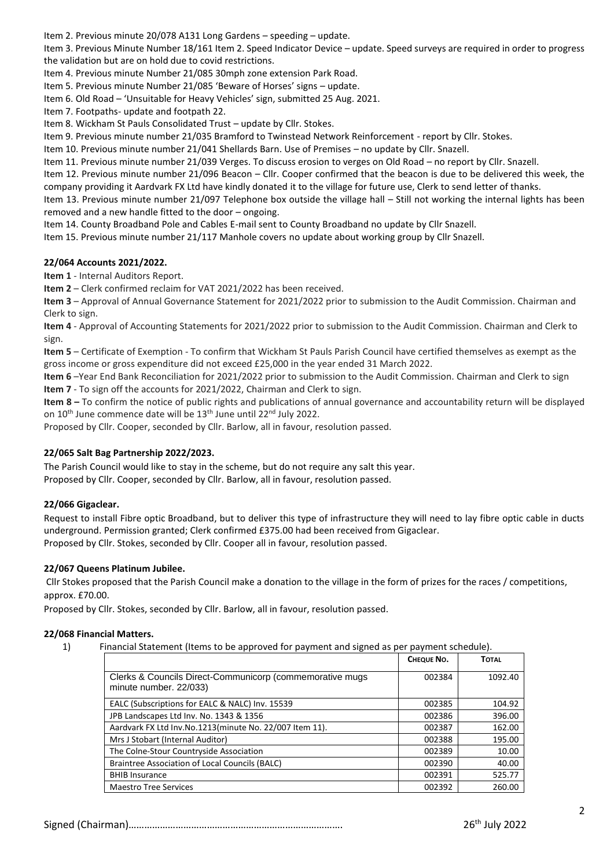Item 2. Previous minute 20/078 A131 Long Gardens – speeding – update.

Item 3. Previous Minute Number 18/161 Item 2. Speed Indicator Device – update. Speed surveys are required in order to progress the validation but are on hold due to covid restrictions.

Item 4. Previous minute Number 21/085 30mph zone extension Park Road.

Item 5. Previous minute Number 21/085 'Beware of Horses' signs – update.

Item 6. Old Road – 'Unsuitable for Heavy Vehicles' sign, submitted 25 Aug. 2021.

Item 7. Footpaths- update and footpath 22.

Item 8. Wickham St Pauls Consolidated Trust – update by Cllr. Stokes.

Item 9. Previous minute number 21/035 Bramford to Twinstead Network Reinforcement - report by Cllr. Stokes.

Item 10. Previous minute number 21/041 Shellards Barn. Use of Premises – no update by Cllr. Snazell.

Item 11. Previous minute number 21/039 Verges. To discuss erosion to verges on Old Road – no report by Cllr. Snazell.

Item 12. Previous minute number 21/096 Beacon – Cllr. Cooper confirmed that the beacon is due to be delivered this week, the company providing it Aardvark FX Ltd have kindly donated it to the village for future use, Clerk to send letter of thanks.

Item 13. Previous minute number 21/097 Telephone box outside the village hall – Still not working the internal lights has been removed and a new handle fitted to the door – ongoing.

Item 14. County Broadband Pole and Cables E-mail sent to County Broadband no update by Cllr Snazell.

Item 15. Previous minute number 21/117 Manhole covers no update about working group by Cllr Snazell.

## **22/064 Accounts 2021/2022.**

**Item 1** - Internal Auditors Report.

**Item 2** – Clerk confirmed reclaim for VAT 2021/2022 has been received.

**Item 3** – Approval of Annual Governance Statement for 2021/2022 prior to submission to the Audit Commission. Chairman and Clerk to sign.

**Item 4** - Approval of Accounting Statements for 2021/2022 prior to submission to the Audit Commission. Chairman and Clerk to sign.

**Item 5** – Certificate of Exemption - To confirm that Wickham St Pauls Parish Council have certified themselves as exempt as the gross income or gross expenditure did not exceed £25,000 in the year ended 31 March 2022.

**Item 6** –Year End Bank Reconciliation for 2021/2022 prior to submission to the Audit Commission. Chairman and Clerk to sign **Item 7** - To sign off the accounts for 2021/2022, Chairman and Clerk to sign.

**Item 8 –** To confirm the notice of public rights and publications of annual governance and accountability return will be displayed on 10<sup>th</sup> June commence date will be 13<sup>th</sup> June until 22<sup>nd</sup> July 2022.

Proposed by Cllr. Cooper, seconded by Cllr. Barlow, all in favour, resolution passed.

# **22/065 Salt Bag Partnership 2022/2023.**

The Parish Council would like to stay in the scheme, but do not require any salt this year. Proposed by Cllr. Cooper, seconded by Cllr. Barlow, all in favour, resolution passed.

# **22/066 Gigaclear.**

Request to install Fibre optic Broadband, but to deliver this type of infrastructure they will need to lay fibre optic cable in ducts underground. Permission granted; Clerk confirmed £375.00 had been received from Gigaclear. Proposed by Cllr. Stokes, seconded by Cllr. Cooper all in favour, resolution passed.

## **22/067 Queens Platinum Jubilee.**

Cllr Stokes proposed that the Parish Council make a donation to the village in the form of prizes for the races / competitions, approx. £70.00.

Proposed by Cllr. Stokes, seconded by Cllr. Barlow, all in favour, resolution passed.

## **22/068 Financial Matters.**

1) Financial Statement (Items to be approved for payment and signed as per payment schedule).

|                                                                                    | CHEQUE NO. | <b>TOTAL</b> |
|------------------------------------------------------------------------------------|------------|--------------|
| Clerks & Councils Direct-Communicorp (commemorative mugs<br>minute number. 22/033) | 002384     | 1092.40      |
| EALC (Subscriptions for EALC & NALC) Inv. 15539                                    | 002385     | 104.92       |
| JPB Landscapes Ltd Inv. No. 1343 & 1356                                            | 002386     | 396.00       |
| Aardvark FX Ltd Inv.No.1213(minute No. 22/007 Item 11).                            | 002387     | 162.00       |
| Mrs J Stobart (Internal Auditor)                                                   | 002388     | 195.00       |
| The Colne-Stour Countryside Association                                            | 002389     | 10.00        |
| Braintree Association of Local Councils (BALC)                                     | 002390     | 40.00        |
| <b>BHIB Insurance</b>                                                              | 002391     | 525.77       |
| <b>Maestro Tree Services</b>                                                       | 002392     | 260.00       |